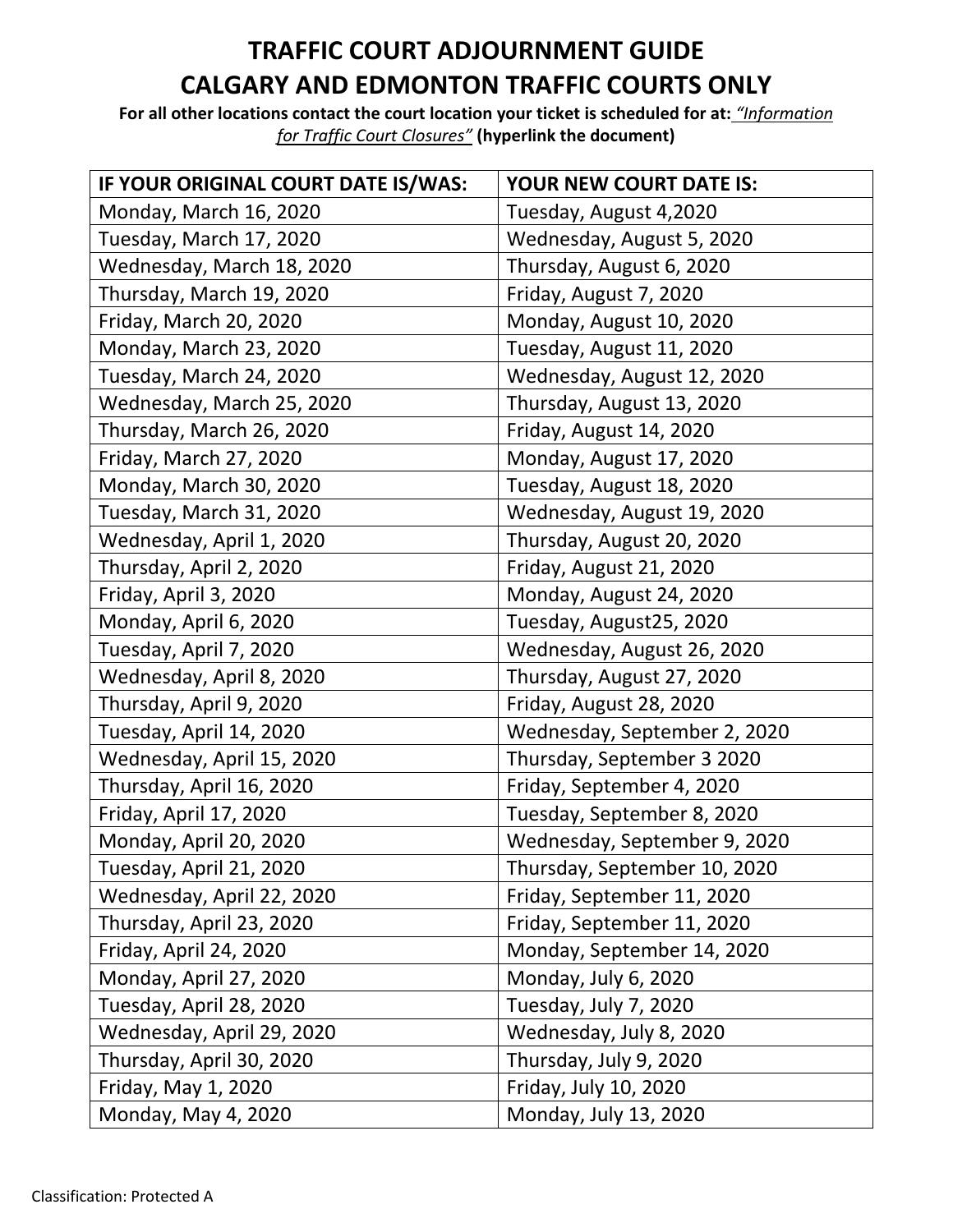## **TRAFFIC COURT ADJOURNMENT GUIDE CALGARY AND EDMONTON TRAFFIC COURTS ONLY**

**For all other locations contact the court location your ticket is scheduled for at:** *"Information for Traffic Court Closures"* **(hyperlink the document)**

| IF YOUR ORIGINAL COURT DATE IS/WAS: | YOUR NEW COURT DATE IS:      |
|-------------------------------------|------------------------------|
| Monday, March 16, 2020              | Tuesday, August 4,2020       |
| Tuesday, March 17, 2020             | Wednesday, August 5, 2020    |
| Wednesday, March 18, 2020           | Thursday, August 6, 2020     |
| Thursday, March 19, 2020            | Friday, August 7, 2020       |
| Friday, March 20, 2020              | Monday, August 10, 2020      |
| Monday, March 23, 2020              | Tuesday, August 11, 2020     |
| Tuesday, March 24, 2020             | Wednesday, August 12, 2020   |
| Wednesday, March 25, 2020           | Thursday, August 13, 2020    |
| Thursday, March 26, 2020            | Friday, August 14, 2020      |
| Friday, March 27, 2020              | Monday, August 17, 2020      |
| Monday, March 30, 2020              | Tuesday, August 18, 2020     |
| Tuesday, March 31, 2020             | Wednesday, August 19, 2020   |
| Wednesday, April 1, 2020            | Thursday, August 20, 2020    |
| Thursday, April 2, 2020             | Friday, August 21, 2020      |
| Friday, April 3, 2020               | Monday, August 24, 2020      |
| Monday, April 6, 2020               | Tuesday, August25, 2020      |
| Tuesday, April 7, 2020              | Wednesday, August 26, 2020   |
| Wednesday, April 8, 2020            | Thursday, August 27, 2020    |
| Thursday, April 9, 2020             | Friday, August 28, 2020      |
| Tuesday, April 14, 2020             | Wednesday, September 2, 2020 |
| Wednesday, April 15, 2020           | Thursday, September 3 2020   |
| Thursday, April 16, 2020            | Friday, September 4, 2020    |
| Friday, April 17, 2020              | Tuesday, September 8, 2020   |
| Monday, April 20, 2020              | Wednesday, September 9, 2020 |
| Tuesday, April 21, 2020             | Thursday, September 10, 2020 |
| Wednesday, April 22, 2020           | Friday, September 11, 2020   |
| Thursday, April 23, 2020            | Friday, September 11, 2020   |
| Friday, April 24, 2020              | Monday, September 14, 2020   |
| Monday, April 27, 2020              | Monday, July 6, 2020         |
| Tuesday, April 28, 2020             | Tuesday, July 7, 2020        |
| Wednesday, April 29, 2020           | Wednesday, July 8, 2020      |
| Thursday, April 30, 2020            | Thursday, July 9, 2020       |
| Friday, May 1, 2020                 | Friday, July 10, 2020        |
| Monday, May 4, 2020                 | Monday, July 13, 2020        |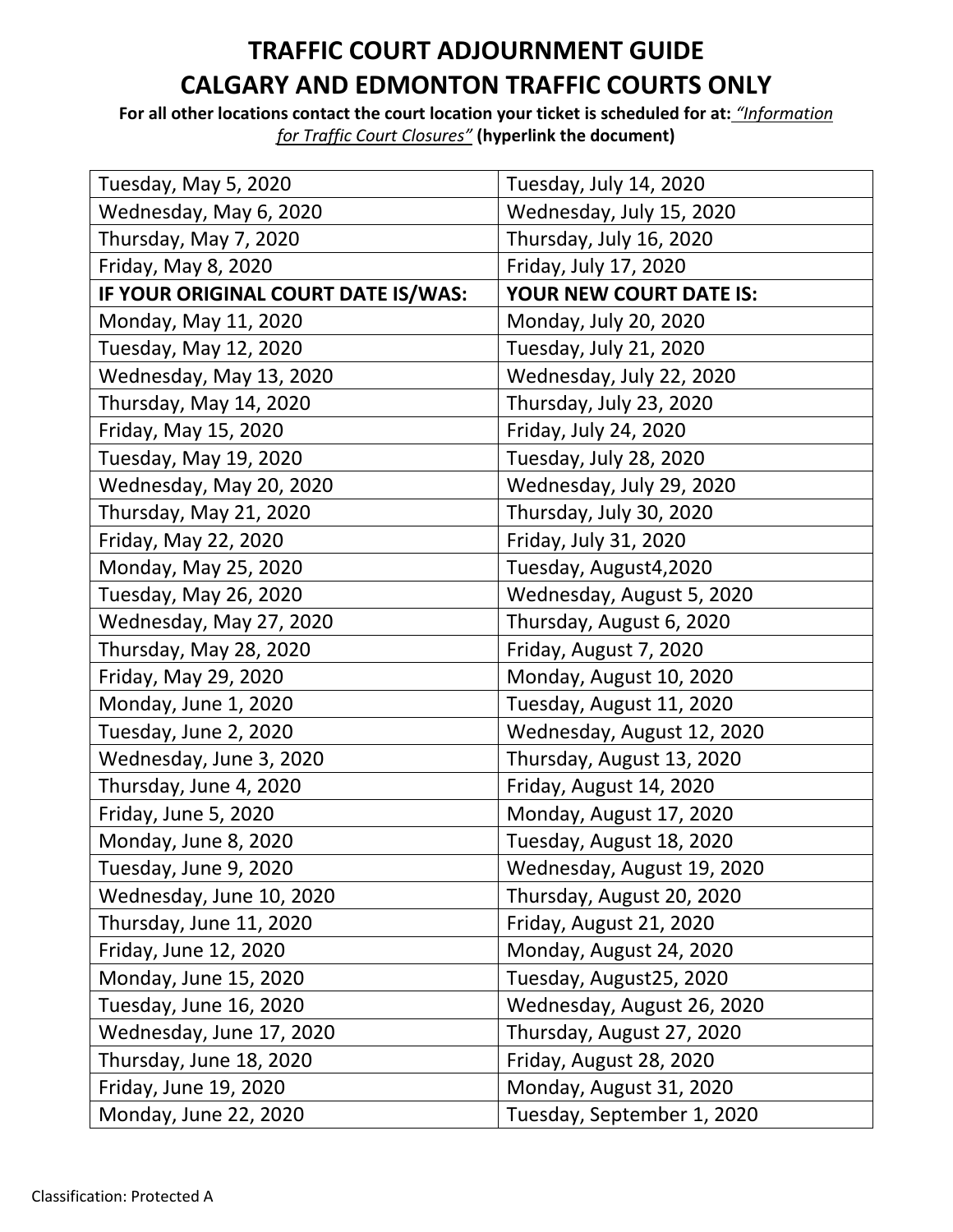## **TRAFFIC COURT ADJOURNMENT GUIDE CALGARY AND EDMONTON TRAFFIC COURTS ONLY**

**For all other locations contact the court location your ticket is scheduled for at:** *"Information for Traffic Court Closures"* **(hyperlink the document)**

| Tuesday, May 5, 2020                | Tuesday, July 14, 2020     |
|-------------------------------------|----------------------------|
| Wednesday, May 6, 2020              | Wednesday, July 15, 2020   |
| Thursday, May 7, 2020               | Thursday, July 16, 2020    |
| Friday, May 8, 2020                 | Friday, July 17, 2020      |
| IF YOUR ORIGINAL COURT DATE IS/WAS: | YOUR NEW COURT DATE IS:    |
| Monday, May 11, 2020                | Monday, July 20, 2020      |
| Tuesday, May 12, 2020               | Tuesday, July 21, 2020     |
| Wednesday, May 13, 2020             | Wednesday, July 22, 2020   |
| Thursday, May 14, 2020              | Thursday, July 23, 2020    |
| Friday, May 15, 2020                | Friday, July 24, 2020      |
| Tuesday, May 19, 2020               | Tuesday, July 28, 2020     |
| Wednesday, May 20, 2020             | Wednesday, July 29, 2020   |
| Thursday, May 21, 2020              | Thursday, July 30, 2020    |
| Friday, May 22, 2020                | Friday, July 31, 2020      |
| Monday, May 25, 2020                | Tuesday, August4,2020      |
| Tuesday, May 26, 2020               | Wednesday, August 5, 2020  |
| Wednesday, May 27, 2020             | Thursday, August 6, 2020   |
| Thursday, May 28, 2020              | Friday, August 7, 2020     |
| Friday, May 29, 2020                | Monday, August 10, 2020    |
| Monday, June 1, 2020                | Tuesday, August 11, 2020   |
| Tuesday, June 2, 2020               | Wednesday, August 12, 2020 |
| Wednesday, June 3, 2020             | Thursday, August 13, 2020  |
| Thursday, June 4, 2020              | Friday, August 14, 2020    |
| Friday, June 5, 2020                | Monday, August 17, 2020    |
| Monday, June 8, 2020                | Tuesday, August 18, 2020   |
| Tuesday, June 9, 2020               | Wednesday, August 19, 2020 |
| Wednesday, June 10, 2020            | Thursday, August 20, 2020  |
| Thursday, June 11, 2020             | Friday, August 21, 2020    |
| Friday, June 12, 2020               | Monday, August 24, 2020    |
| Monday, June 15, 2020               | Tuesday, August25, 2020    |
| Tuesday, June 16, 2020              | Wednesday, August 26, 2020 |
| Wednesday, June 17, 2020            | Thursday, August 27, 2020  |
| Thursday, June 18, 2020             | Friday, August 28, 2020    |
| Friday, June 19, 2020               | Monday, August 31, 2020    |
| Monday, June 22, 2020               | Tuesday, September 1, 2020 |